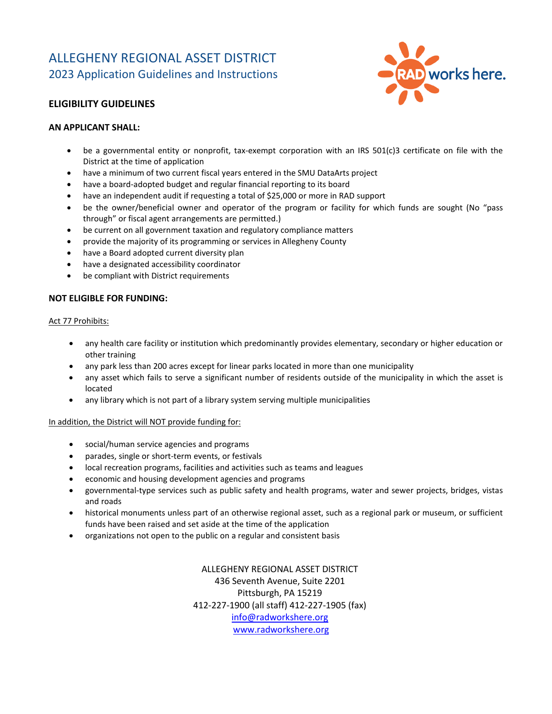# ALLEGHENY REGIONAL ASSET DISTRICT 2023 Application Guidelines and Instructions



# **ELIGIBILITY GUIDELINES**

#### **AN APPLICANT SHALL:**

- be a governmental entity or nonprofit, tax-exempt corporation with an IRS 501(c)3 certificate on file with the District at the time of application
- have a minimum of two current fiscal years entered in the SMU DataArts project
- have a board-adopted budget and regular financial reporting to its board
- have an independent audit if requesting a total of \$25,000 or more in RAD support
- be the owner/beneficial owner and operator of the program or facility for which funds are sought (No "pass through" or fiscal agent arrangements are permitted.)
- be current on all government taxation and regulatory compliance matters
- provide the majority of its programming or services in Allegheny County
- have a Board adopted current diversity plan
- have a designated accessibility coordinator
- be compliant with District requirements

#### **NOT ELIGIBLE FOR FUNDING:**

#### Act 77 Prohibits:

- any health care facility or institution which predominantly provides elementary, secondary or higher education or other training
- any park less than 200 acres except for linear parks located in more than one municipality
- any asset which fails to serve a significant number of residents outside of the municipality in which the asset is located
- any library which is not part of a library system serving multiple municipalities

#### In addition, the District will NOT provide funding for:

- social/human service agencies and programs
- parades, single or short-term events, or festivals
- local recreation programs, facilities and activities such as teams and leagues
- economic and housing development agencies and programs
- governmental-type services such as public safety and health programs, water and sewer projects, bridges, vistas and roads
- historical monuments unless part of an otherwise regional asset, such as a regional park or museum, or sufficient funds have been raised and set aside at the time of the application
- organizations not open to the public on a regular and consistent basis

ALLEGHENY REGIONAL ASSET DISTRICT 436 Seventh Avenue, Suite 2201 Pittsburgh, PA 15219 412-227-1900 (all staff) 412-227-1905 (fax) [info@radworkshere.org](mailto:info@radworkshere.org)  [www.radworkshere.org](http://www.radworkshere.org/)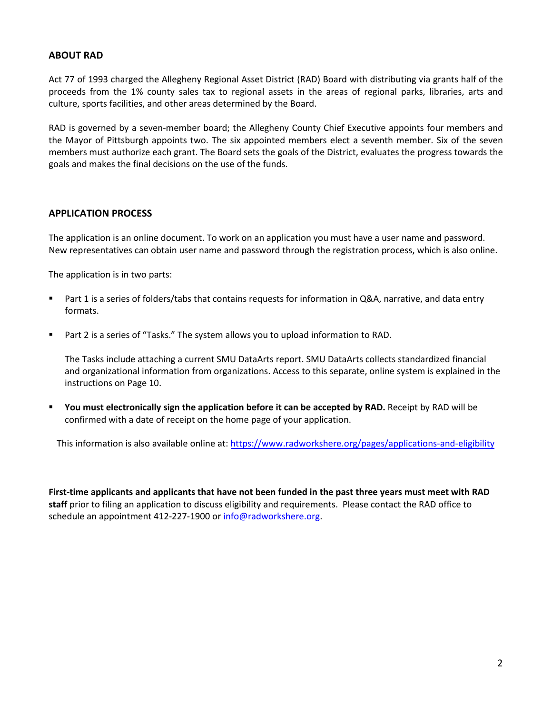# **ABOUT RAD**

Act 77 of 1993 charged the Allegheny Regional Asset District (RAD) Board with distributing via grants half of the proceeds from the 1% county sales tax to regional assets in the areas of regional parks, libraries, arts and culture, sports facilities, and other areas determined by the Board.

RAD is governed by a seven-member board; the Allegheny County Chief Executive appoints four members and the Mayor of Pittsburgh appoints two. The six appointed members elect a seventh member. Six of the seven members must authorize each grant. The Board sets the goals of the District, evaluates the progress towards the goals and makes the final decisions on the use of the funds.

# **APPLICATION PROCESS**

The application is an online document. To work on an application you must have a user name and password. New representatives can obtain user name and password through the registration process, which is also online.

The application is in two parts:

- Part 1 is a series of folders/tabs that contains requests for information in Q&A, narrative, and data entry formats.
- Part 2 is a series of "Tasks." The system allows you to upload information to RAD.

The Tasks include attaching a current SMU DataArts report. SMU DataArts collects standardized financial and organizational information from organizations. Access to this separate, online system is explained in the instructions on Page 10.

 **You must electronically sign the application before it can be accepted by RAD.** Receipt by RAD will be confirmed with a date of receipt on the home page of your application.

This information is also available online at:<https://www.radworkshere.org/pages/applications-and-eligibility>

**First-time applicants and applicants that have not been funded in the past three years must meet with RAD staff** prior to filing an application to discuss eligibility and requirements. Please contact the RAD office to schedule an appointment 412-227-1900 o[r info@radworkshere.org.](mailto:info@radworkshere.org)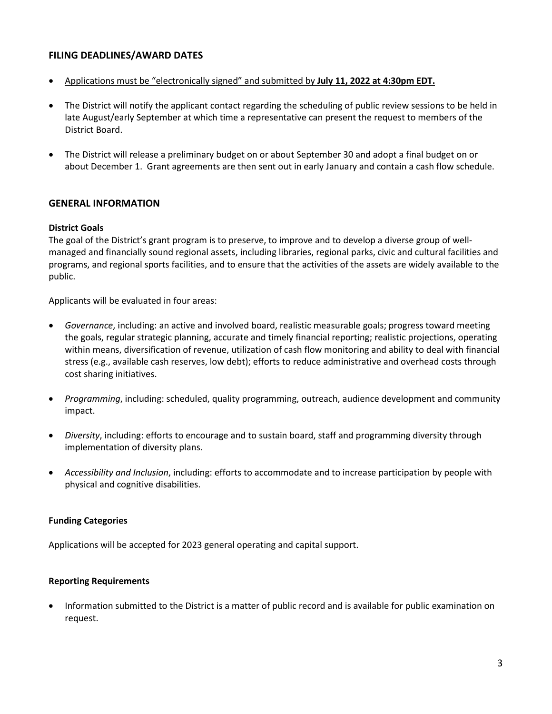# **FILING DEADLINES/AWARD DATES**

- Applications must be "electronically signed" and submitted by **July 11, 2022 at 4:30pm EDT.**
- The District will notify the applicant contact regarding the scheduling of public review sessions to be held in late August/early September at which time a representative can present the request to members of the District Board.
- The District will release a preliminary budget on or about September 30 and adopt a final budget on or about December 1. Grant agreements are then sent out in early January and contain a cash flow schedule.

#### **GENERAL INFORMATION**

#### **District Goals**

The goal of the District's grant program is to preserve, to improve and to develop a diverse group of wellmanaged and financially sound regional assets, including libraries, regional parks, civic and cultural facilities and programs, and regional sports facilities, and to ensure that the activities of the assets are widely available to the public.

Applicants will be evaluated in four areas:

- *Governance*, including: an active and involved board, realistic measurable goals; progress toward meeting the goals, regular strategic planning, accurate and timely financial reporting; realistic projections, operating within means, diversification of revenue, utilization of cash flow monitoring and ability to deal with financial stress (e.g., available cash reserves, low debt); efforts to reduce administrative and overhead costs through cost sharing initiatives.
- *Programming*, including: scheduled, quality programming, outreach, audience development and community impact.
- *Diversity*, including: efforts to encourage and to sustain board, staff and programming diversity through implementation of diversity plans.
- *Accessibility and Inclusion*, including: efforts to accommodate and to increase participation by people with physical and cognitive disabilities.

#### **Funding Categories**

Applications will be accepted for 2023 general operating and capital support.

#### **Reporting Requirements**

• Information submitted to the District is a matter of public record and is available for public examination on request.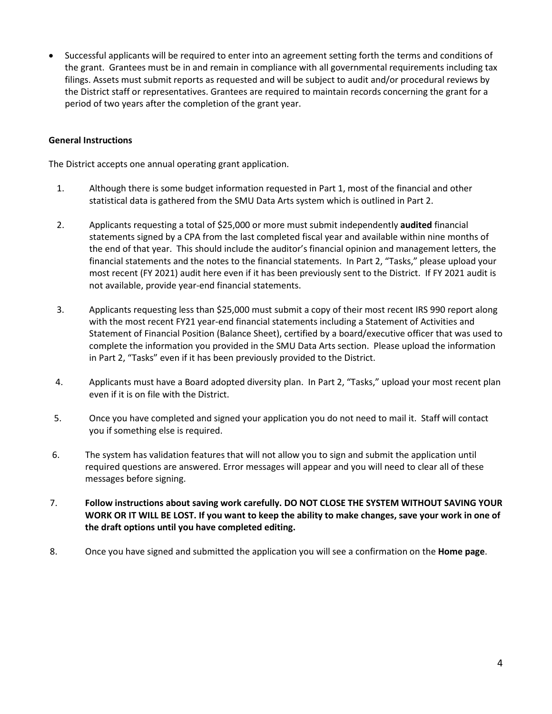• Successful applicants will be required to enter into an agreement setting forth the terms and conditions of the grant. Grantees must be in and remain in compliance with all governmental requirements including tax filings. Assets must submit reports as requested and will be subject to audit and/or procedural reviews by the District staff or representatives. Grantees are required to maintain records concerning the grant for a period of two years after the completion of the grant year.

### **General Instructions**

The District accepts one annual operating grant application.

- 1. Although there is some budget information requested in Part 1, most of the financial and other statistical data is gathered from the SMU Data Arts system which is outlined in Part 2.
- 2. Applicants requesting a total of \$25,000 or more must submit independently **audited** financial statements signed by a CPA from the last completed fiscal year and available within nine months of the end of that year. This should include the auditor's financial opinion and management letters, the financial statements and the notes to the financial statements. In Part 2, "Tasks," please upload your most recent (FY 2021) audit here even if it has been previously sent to the District. If FY 2021 audit is not available, provide year-end financial statements.
- 3. Applicants requesting less than \$25,000 must submit a copy of their most recent IRS 990 report along with the most recent FY21 year-end financial statements including a Statement of Activities and Statement of Financial Position (Balance Sheet), certified by a board/executive officer that was used to complete the information you provided in the SMU Data Arts section. Please upload the information in Part 2, "Tasks" even if it has been previously provided to the District.
- 4. Applicants must have a Board adopted diversity plan. In Part 2, "Tasks," upload your most recent plan even if it is on file with the District.
- 5. Once you have completed and signed your application you do not need to mail it. Staff will contact you if something else is required.
- 6. The system has validation features that will not allow you to sign and submit the application until required questions are answered. Error messages will appear and you will need to clear all of these messages before signing.
- 7. **Follow instructions about saving work carefully. DO NOT CLOSE THE SYSTEM WITHOUT SAVING YOUR WORK OR IT WILL BE LOST. If you want to keep the ability to make changes, save your work in one of the draft options until you have completed editing.**
- 8. Once you have signed and submitted the application you will see a confirmation on the **Home page**.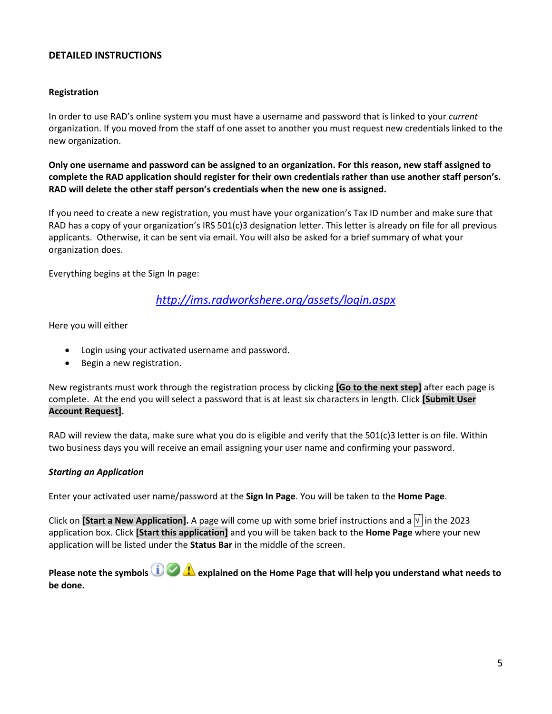# **DETAILED INSTRUCTIONS**

### **Registration**

In order to use RAD's online system you must have a username and password that is linked to your *current*  organization. If you moved from the staff of one asset to another you must request new credentials linked to the new organization.

**Only one username and password can be assigned to an organization. For this reason, new staff assigned to complete the RAD application should register for their own credentials rather than use another staff person's. RAD will delete the other staff person's credentials when the new one is assigned.** 

If you need to create a new registration, you must have your organization's Tax ID number and make sure that RAD has a copy of your organization's IRS 501(c)3 designation letter. This letter is already on file for all previous applicants. Otherwise, it can be sent via email. You will also be asked for a brief summary of what your organization does.

Everything begins at the Sign In page:

# *<http://ims.radworkshere.org/assets/login.aspx>*

Here you will either

- Login using your activated username and password.
- Begin a new registration.

New registrants must work through the registration process by clicking **[Go to the next step]** after each page is complete. At the end you will select a password that is at least six characters in length. Click **[Submit User Account Request].**

RAD will review the data, make sure what you do is eligible and verify that the  $501(c)3$  letter is on file. Within two business days you will receive an email assigning your user name and confirming your password.

# *Starting an Application*

Enter your activated user name/password at the **Sign In Page**. You will be taken to the **Home Page**.

Click on **[Start a New Application].** A page will come up with some brief instructions and a  $\sqrt{\ }$  in the 2023 application box. Click **[Start this application]** and you will be taken back to the **Home Page** where your new application will be listed under the **Status Bar** in the middle of the screen.

**Please note the symbols <b>explained on the Home Page that will help you understand what needs to be done.**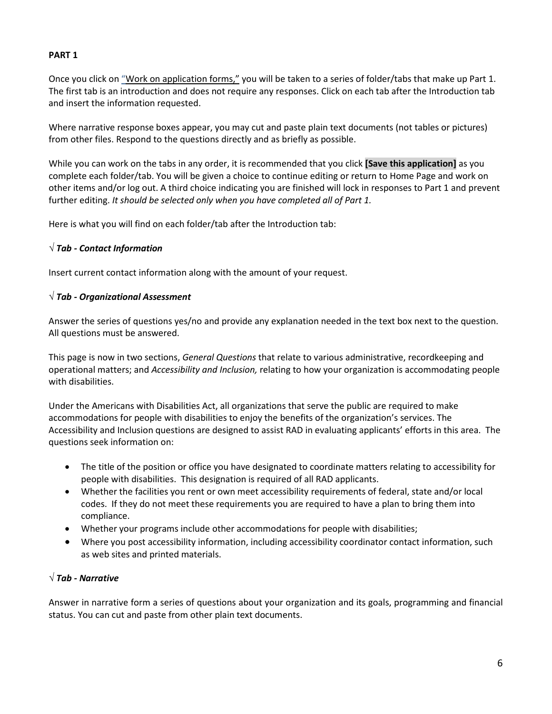# **PART 1**

Once you click on "Work on application forms," you will be taken to a series of folder/tabs that make up Part 1. The first tab is an introduction and does not require any responses. Click on each tab after the Introduction tab and insert the information requested.

Where narrative response boxes appear, you may cut and paste plain text documents (not tables or pictures) from other files. Respond to the questions directly and as briefly as possible.

While you can work on the tabs in any order, it is recommended that you click **[Save this application]** as you complete each folder/tab. You will be given a choice to continue editing or return to Home Page and work on other items and/or log out. A third choice indicating you are finished will lock in responses to Part 1 and prevent further editing. *It should be selected only when you have completed all of Part 1.*

Here is what you will find on each folder/tab after the Introduction tab:

# *√ Tab - Contact Information*

Insert current contact information along with the amount of your request.

# *√ Tab - Organizational Assessment*

Answer the series of questions yes/no and provide any explanation needed in the text box next to the question. All questions must be answered.

This page is now in two sections, *General Questions* that relate to various administrative, recordkeeping and operational matters; and *Accessibility and Inclusion,* relating to how your organization is accommodating people with disabilities.

Under the Americans with Disabilities Act, all organizations that serve the public are required to make accommodations for people with disabilities to enjoy the benefits of the organization's services. The Accessibility and Inclusion questions are designed to assist RAD in evaluating applicants' efforts in this area. The questions seek information on:

- The title of the position or office you have designated to coordinate matters relating to accessibility for people with disabilities. This designation is required of all RAD applicants.
- Whether the facilities you rent or own meet accessibility requirements of federal, state and/or local codes. If they do not meet these requirements you are required to have a plan to bring them into compliance.
- Whether your programs include other accommodations for people with disabilities;
- Where you post accessibility information, including accessibility coordinator contact information, such as web sites and printed materials.

# *√ Tab - Narrative*

Answer in narrative form a series of questions about your organization and its goals, programming and financial status. You can cut and paste from other plain text documents.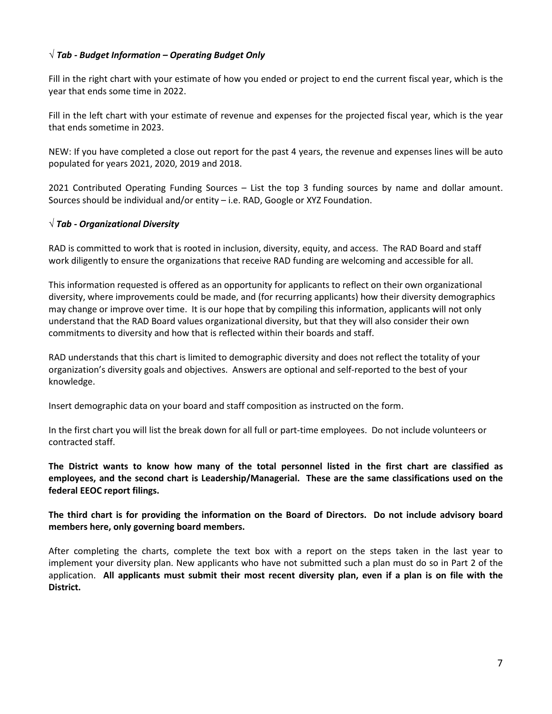# *√ Tab - Budget Information – Operating Budget Only*

Fill in the right chart with your estimate of how you ended or project to end the current fiscal year, which is the year that ends some time in 2022.

Fill in the left chart with your estimate of revenue and expenses for the projected fiscal year, which is the year that ends sometime in 2023.

NEW: If you have completed a close out report for the past 4 years, the revenue and expenses lines will be auto populated for years 2021, 2020, 2019 and 2018.

2021 Contributed Operating Funding Sources – List the top 3 funding sources by name and dollar amount. Sources should be individual and/or entity – i.e. RAD, Google or XYZ Foundation.

# *√ Tab - Organizational Diversity*

RAD is committed to work that is rooted in inclusion, diversity, equity, and access. The RAD Board and staff work diligently to ensure the organizations that receive RAD funding are welcoming and accessible for all.

This information requested is offered as an opportunity for applicants to reflect on their own organizational diversity, where improvements could be made, and (for recurring applicants) how their diversity demographics may change or improve over time. It is our hope that by compiling this information, applicants will not only understand that the RAD Board values organizational diversity, but that they will also consider their own commitments to diversity and how that is reflected within their boards and staff.

RAD understands that this chart is limited to demographic diversity and does not reflect the totality of your organization's diversity goals and objectives. Answers are optional and self-reported to the best of your knowledge.

Insert demographic data on your board and staff composition as instructed on the form.

In the first chart you will list the break down for all full or part-time employees. Do not include volunteers or contracted staff.

**The District wants to know how many of the total personnel listed in the first chart are classified as employees, and the second chart is Leadership/Managerial. These are the same classifications used on the federal EEOC report filings.** 

**The third chart is for providing the information on the Board of Directors. Do not include advisory board members here, only governing board members.** 

After completing the charts, complete the text box with a report on the steps taken in the last year to implement your diversity plan. New applicants who have not submitted such a plan must do so in Part 2 of the application. **All applicants must submit their most recent diversity plan, even if a plan is on file with the District.**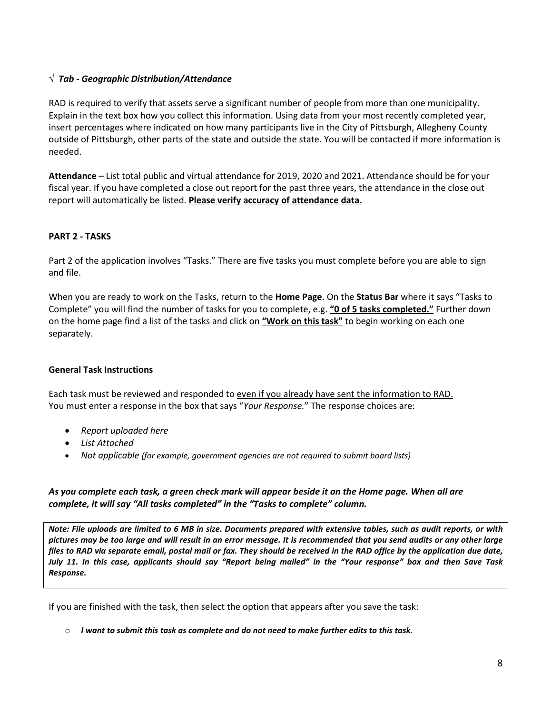# *√ Tab - Geographic Distribution/Attendance*

RAD is required to verify that assets serve a significant number of people from more than one municipality. Explain in the text box how you collect this information. Using data from your most recently completed year, insert percentages where indicated on how many participants live in the City of Pittsburgh, Allegheny County outside of Pittsburgh, other parts of the state and outside the state. You will be contacted if more information is needed.

**Attendance** – List total public and virtual attendance for 2019, 2020 and 2021. Attendance should be for your fiscal year. If you have completed a close out report for the past three years, the attendance in the close out report will automatically be listed. **Please verify accuracy of attendance data.**

# **PART 2 - TASKS**

Part 2 of the application involves "Tasks." There are five tasks you must complete before you are able to sign and file.

When you are ready to work on the Tasks, return to the **Home Page**. On the **Status Bar** where it says "Tasks to Complete" you will find the number of tasks for you to complete, e.g. **"0 of 5 tasks completed."** Further down on the home page find a list of the tasks and click on **"Work on this task"** to begin working on each one separately.

#### **General Task Instructions**

Each task must be reviewed and responded to even if you already have sent the information to RAD. You must enter a response in the box that says "*Your Response.*" The response choices are:

- *Report uploaded here*
- *List Attached*
- *Not applicable (for example, government agencies are not required to submit board lists)*

#### *As you complete each task, a green check mark will appear beside it on the Home page. When all are complete, it will say "All tasks completed" in the "Tasks to complete" column.*

*Note: File uploads are limited to 6 MB in size. Documents prepared with extensive tables, such as audit reports, or with pictures may be too large and will result in an error message. It is recommended that you send audits or any other large files to RAD via separate email, postal mail or fax. They should be received in the RAD office by the application due date, July 11. In this case, applicants should say "Report being mailed" in the "Your response" box and then Save Task Response.*

If you are finished with the task, then select the option that appears after you save the task:

o *I want to submit this task as complete and do not need to make further edits to this task.*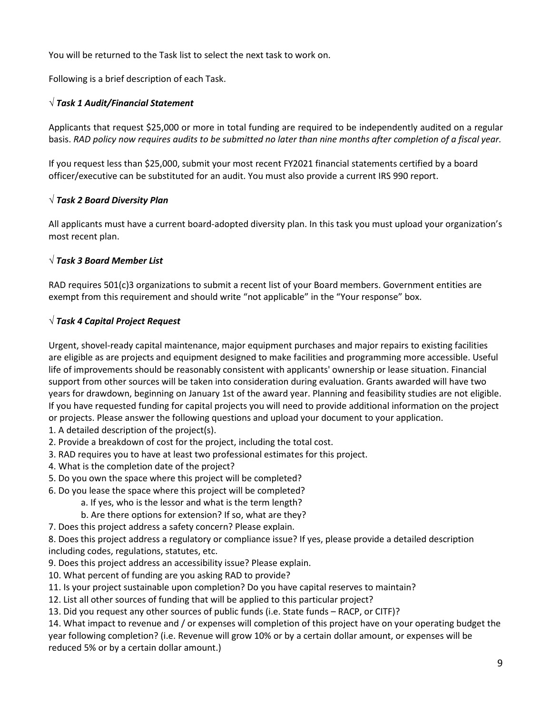You will be returned to the Task list to select the next task to work on.

Following is a brief description of each Task.

# *√ Task 1 Audit/Financial Statement*

Applicants that request \$25,000 or more in total funding are required to be independently audited on a regular basis. *RAD policy now requires audits to be submitted no later than nine months after completion of a fiscal year.*

If you request less than \$25,000, submit your most recent FY2021 financial statements certified by a board officer/executive can be substituted for an audit. You must also provide a current IRS 990 report.

# *√ Task 2 Board Diversity Plan*

All applicants must have a current board-adopted diversity plan. In this task you must upload your organization's most recent plan.

# *√ Task 3 Board Member List*

RAD requires 501(c)3 organizations to submit a recent list of your Board members. Government entities are exempt from this requirement and should write "not applicable" in the "Your response" box.

# *√ Task 4 Capital Project Request*

Urgent, shovel-ready capital maintenance, major equipment purchases and major repairs to existing facilities are eligible as are projects and equipment designed to make facilities and programming more accessible. Useful life of improvements should be reasonably consistent with applicants' ownership or lease situation. Financial support from other sources will be taken into consideration during evaluation. Grants awarded will have two years for drawdown, beginning on January 1st of the award year. Planning and feasibility studies are not eligible. If you have requested funding for capital projects you will need to provide additional information on the project or projects. Please answer the following questions and upload your document to your application.

- 1. A detailed description of the project(s).
- 2. Provide a breakdown of cost for the project, including the total cost.
- 3. RAD requires you to have at least two professional estimates for this project.
- 4. What is the completion date of the project?
- 5. Do you own the space where this project will be completed?
- 6. Do you lease the space where this project will be completed?
	- a. If yes, who is the lessor and what is the term length?
		- b. Are there options for extension? If so, what are they?
- 7. Does this project address a safety concern? Please explain.

8. Does this project address a regulatory or compliance issue? If yes, please provide a detailed description including codes, regulations, statutes, etc.

- 9. Does this project address an accessibility issue? Please explain.
- 10. What percent of funding are you asking RAD to provide?
- 11. Is your project sustainable upon completion? Do you have capital reserves to maintain?
- 12. List all other sources of funding that will be applied to this particular project?
- 13. Did you request any other sources of public funds (i.e. State funds RACP, or CITF)?

14. What impact to revenue and / or expenses will completion of this project have on your operating budget the year following completion? (i.e. Revenue will grow 10% or by a certain dollar amount, or expenses will be reduced 5% or by a certain dollar amount.)